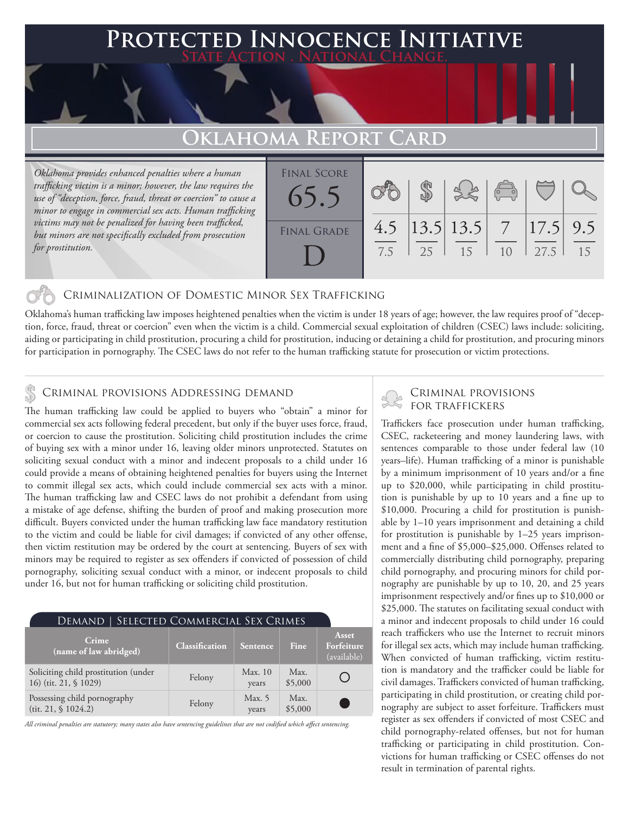## **PTED INNOCENCE INITIATIVE State Action . National Change.**

## **Oklahoma Repo**

*Oklahoma provides enhanced penalties where a human trafficking victim is a minor; however, the law requires the use of "deception, force, fraud, threat or coercion" to cause a minor to engage in commercial sex acts. Human trafficking victims may not be penalized for having been trafficked, but minors are not specifically excluded from prosecution for prostitution.*

| <b>FINAL SCORE</b> |     |      |                 |            |              |    |
|--------------------|-----|------|-----------------|------------|--------------|----|
|                    |     |      |                 | $\sqrt{2}$ |              |    |
| 65.5               |     |      |                 |            |              |    |
|                    | 4.5 |      | $ 13.5 13.5 $ 7 |            | $ 17.5 $ 9.5 |    |
| <b>FINAL GRADE</b> |     |      |                 |            |              |    |
|                    | 7.5 | - 25 | 15              | 10         | 27.5         | 15 |
|                    |     |      |                 |            |              |    |

### Criminalization of Domestic Minor Sex Trafficking

Oklahoma's human trafficking law imposes heightened penalties when the victim is under 18 years of age; however, the law requires proof of "deception, force, fraud, threat or coercion" even when the victim is a child. Commercial sexual exploitation of children (CSEC) laws include: soliciting, aiding or participating in child prostitution, procuring a child for prostitution, inducing or detaining a child for prostitution, and procuring minors for participation in pornography. The CSEC laws do not refer to the human trafficking statute for prosecution or victim protections.

# CRIMINAL PROVISIONS ADDRESSING DEMAND<br>The human trafficking law could be applied to human who "obtain" a minor for SCRIMINAL PROVISIONS

The human trafficking law could be applied to buyers who "obtain" a minor for commercial sex acts following federal precedent, but only if the buyer uses force, fraud, or coercion to cause the prostitution. Soliciting child prostitution includes the crime of buying sex with a minor under 16, leaving older minors unprotected. Statutes on soliciting sexual conduct with a minor and indecent proposals to a child under 16 could provide a means of obtaining heightened penalties for buyers using the Internet to commit illegal sex acts, which could include commercial sex acts with a minor. The human trafficking law and CSEC laws do not prohibit a defendant from using a mistake of age defense, shifting the burden of proof and making prosecution more difficult. Buyers convicted under the human trafficking law face mandatory restitution to the victim and could be liable for civil damages; if convicted of any other offense, then victim restitution may be ordered by the court at sentencing. Buyers of sex with minors may be required to register as sex offenders if convicted of possession of child pornography, soliciting sexual conduct with a minor, or indecent proposals to child under 16, but not for human trafficking or soliciting child prostitution.

| DEMAND   SELECTED COMMERCIAL SEX CRIMES                       |                       |                 |                 |                                    |  |  |  |
|---------------------------------------------------------------|-----------------------|-----------------|-----------------|------------------------------------|--|--|--|
| Crime<br>(name of law abridged)                               | <b>Classification</b> | Sentence        | <b>Fine</b>     | Asset<br>Forfeiture<br>(available) |  |  |  |
| Soliciting child prostitution (under<br>16) (tit. 21, § 1029) | Felony                | Max.10<br>years | Max.<br>\$5,000 |                                    |  |  |  |
| Possessing child pornography<br>(tit. 21, § 1024.2)           | Felony                | Max. 5<br>years | Max.<br>\$5,000 | <b>Service Service</b>             |  |  |  |

*All criminal penalties are statutory; many states also have sentencing guidelines that are not codified which affect sentencing.* 

Traffickers face prosecution under human trafficking, CSEC, racketeering and money laundering laws, with sentences comparable to those under federal law (10 years–life). Human trafficking of a minor is punishable by a minimum imprisonment of 10 years and/or a fine up to \$20,000, while participating in child prostitution is punishable by up to 10 years and a fine up to \$10,000. Procuring a child for prostitution is punishable by 1–10 years imprisonment and detaining a child for prostitution is punishable by 1–25 years imprisonment and a fine of \$5,000–\$25,000. Offenses related to commercially distributing child pornography, preparing child pornography, and procuring minors for child pornography are punishable by up to 10, 20, and 25 years imprisonment respectively and/or fines up to \$10,000 or \$25,000. The statutes on facilitating sexual conduct with a minor and indecent proposals to child under 16 could reach traffickers who use the Internet to recruit minors for illegal sex acts, which may include human trafficking. When convicted of human trafficking, victim restitution is mandatory and the trafficker could be liable for civil damages. Traffickers convicted of human trafficking, participating in child prostitution, or creating child pornography are subject to asset forfeiture. Traffickers must register as sex offenders if convicted of most CSEC and child pornography-related offenses, but not for human trafficking or participating in child prostitution. Convictions for human trafficking or CSEC offenses do not result in termination of parental rights.